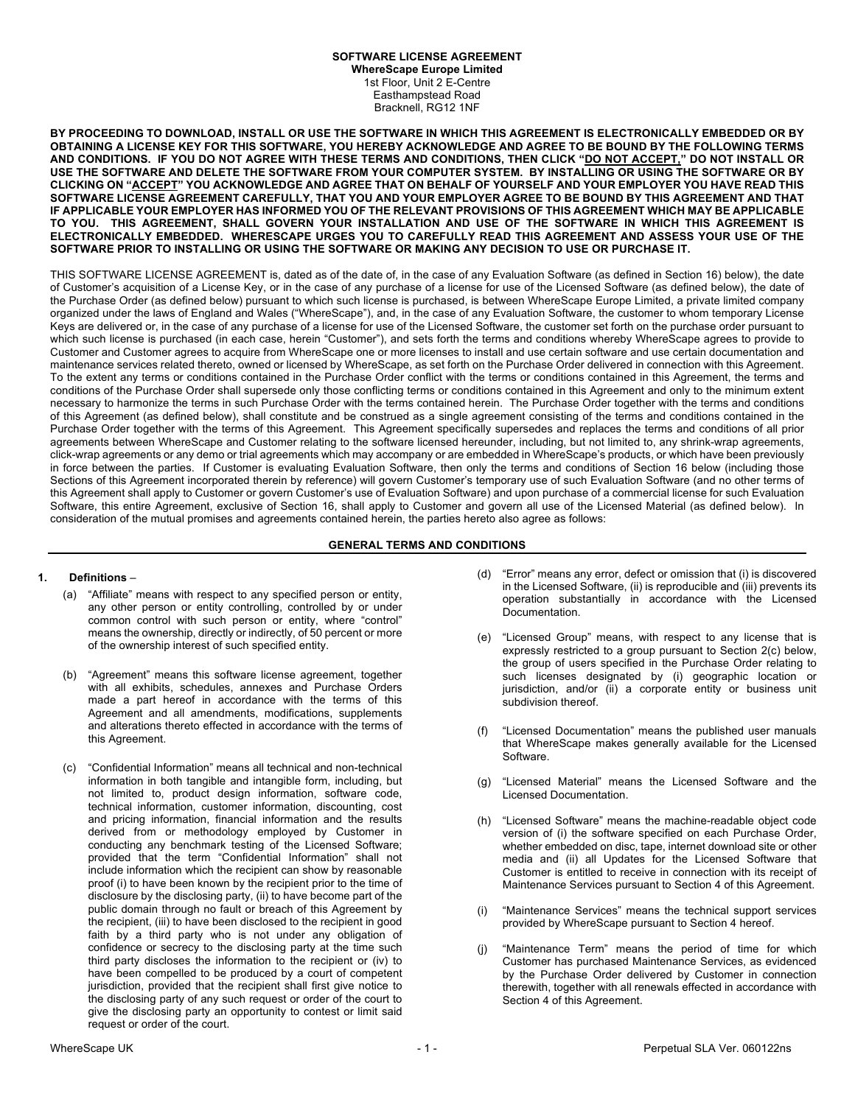# **SOFTWARE LICENSE AGREEMENT**

**WhereScape Europe Limited** 1st Floor, Unit 2 E-Centre Easthampstead Road Bracknell, RG12 1NF

**BY PROCEEDING TO DOWNLOAD, INSTALL OR USE THE SOFTWARE IN WHICH THIS AGREEMENT IS ELECTRONICALLY EMBEDDED OR BY OBTAINING A LICENSE KEY FOR THIS SOFTWARE, YOU HEREBY ACKNOWLEDGE AND AGREE TO BE BOUND BY THE FOLLOWING TERMS AND CONDITIONS. IF YOU DO NOT AGREE WITH THESE TERMS AND CONDITIONS, THEN CLICK "DO NOT ACCEPT," DO NOT INSTALL OR USE THE SOFTWARE AND DELETE THE SOFTWARE FROM YOUR COMPUTER SYSTEM. BY INSTALLING OR USING THE SOFTWARE OR BY CLICKING ON "ACCEPT" YOU ACKNOWLEDGE AND AGREE THAT ON BEHALF OF YOURSELF AND YOUR EMPLOYER YOU HAVE READ THIS SOFTWARE LICENSE AGREEMENT CAREFULLY, THAT YOU AND YOUR EMPLOYER AGREE TO BE BOUND BY THIS AGREEMENT AND THAT IF APPLICABLE YOUR EMPLOYER HAS INFORMED YOU OF THE RELEVANT PROVISIONS OF THIS AGREEMENT WHICH MAY BE APPLICABLE TO YOU. THIS AGREEMENT, SHALL GOVERN YOUR INSTALLATION AND USE OF THE SOFTWARE IN WHICH THIS AGREEMENT IS ELECTRONICALLY EMBEDDED. WHERESCAPE URGES YOU TO CAREFULLY READ THIS AGREEMENT AND ASSESS YOUR USE OF THE SOFTWARE PRIOR TO INSTALLING OR USING THE SOFTWARE OR MAKING ANY DECISION TO USE OR PURCHASE IT.**

THIS SOFTWARE LICENSE AGREEMENT is, dated as of the date of, in the case of any Evaluation Software (as defined in Section 16) below), the date of Customer's acquisition of a License Key, or in the case of any purchase of a license for use of the Licensed Software (as defined below), the date of the Purchase Order (as defined below) pursuant to which such license is purchased, is between WhereScape Europe Limited, a private limited company organized under the laws of England and Wales ("WhereScape"), and, in the case of any Evaluation Software, the customer to whom temporary License Keys are delivered or, in the case of any purchase of a license for use of the Licensed Software, the customer set forth on the purchase order pursuant to which such license is purchased (in each case, herein "Customer"), and sets forth the terms and conditions whereby WhereScape agrees to provide to Customer and Customer agrees to acquire from WhereScape one or more licenses to install and use certain software and use certain documentation and maintenance services related thereto, owned or licensed by WhereScape, as set forth on the Purchase Order delivered in connection with this Agreement. To the extent any terms or conditions contained in the Purchase Order conflict with the terms or conditions contained in this Agreement, the terms and conditions of the Purchase Order shall supersede only those conflicting terms or conditions contained in this Agreement and only to the minimum extent necessary to harmonize the terms in such Purchase Order with the terms contained herein. The Purchase Order together with the terms and conditions of this Agreement (as defined below), shall constitute and be construed as a single agreement consisting of the terms and conditions contained in the Purchase Order together with the terms of this Agreement. This Agreement specifically supersedes and replaces the terms and conditions of all prior agreements between WhereScape and Customer relating to the software licensed hereunder, including, but not limited to, any shrink-wrap agreements, click-wrap agreements or any demo or trial agreements which may accompany or are embedded in WhereScape's products, or which have been previously in force between the parties. If Customer is evaluating Evaluation Software, then only the terms and conditions of Section 16 below (including those Sections of this Agreement incorporated therein by reference) will govern Customer's temporary use of such Evaluation Software (and no other terms of this Agreement shall apply to Customer or govern Customer's use of Evaluation Software) and upon purchase of a commercial license for such Evaluation Software, this entire Agreement, exclusive of Section 16, shall apply to Customer and govern all use of the Licensed Material (as defined below). In consideration of the mutual promises and agreements contained herein, the parties hereto also agree as follows:

#### **GENERAL TERMS AND CONDITIONS**

#### **1. Definitions** –

- (a) "Affiliate" means with respect to any specified person or entity, any other person or entity controlling, controlled by or under common control with such person or entity, where "control" means the ownership, directly or indirectly, of 50 percent or more of the ownership interest of such specified entity.
- (b) "Agreement" means this software license agreement, together with all exhibits, schedules, annexes and Purchase Orders made a part hereof in accordance with the terms of this Agreement and all amendments, modifications, supplements and alterations thereto effected in accordance with the terms of this Agreement.
- (c) "Confidential Information" means all technical and non-technical information in both tangible and intangible form, including, but not limited to, product design information, software code, technical information, customer information, discounting, cost and pricing information, financial information and the results derived from or methodology employed by Customer in conducting any benchmark testing of the Licensed Software; provided that the term "Confidential Information" shall not include information which the recipient can show by reasonable proof (i) to have been known by the recipient prior to the time of disclosure by the disclosing party, (ii) to have become part of the public domain through no fault or breach of this Agreement by the recipient, (iii) to have been disclosed to the recipient in good faith by a third party who is not under any obligation of confidence or secrecy to the disclosing party at the time such third party discloses the information to the recipient or (iv) to have been compelled to be produced by a court of competent jurisdiction, provided that the recipient shall first give notice to the disclosing party of any such request or order of the court to give the disclosing party an opportunity to contest or limit said request or order of the court.
- (d) "Error" means any error, defect or omission that (i) is discovered in the Licensed Software, (ii) is reproducible and (iii) prevents its operation substantially in accordance with the Licensed Documentation.
- (e) "Licensed Group" means, with respect to any license that is expressly restricted to a group pursuant to Section 2(c) below, the group of users specified in the Purchase Order relating to such licenses designated by (i) geographic location or jurisdiction, and/or (ii) a corporate entity or business unit subdivision thereof.
- (f) "Licensed Documentation" means the published user manuals that WhereScape makes generally available for the Licensed Software.
- (g) "Licensed Material" means the Licensed Software and the Licensed Documentation.
- (h) "Licensed Software" means the machine-readable object code version of (i) the software specified on each Purchase Order, whether embedded on disc, tape, internet download site or other media and (ii) all Updates for the Licensed Software that Customer is entitled to receive in connection with its receipt of Maintenance Services pursuant to Section 4 of this Agreement.
- (i) "Maintenance Services" means the technical support services provided by WhereScape pursuant to Section 4 hereof.
- "Maintenance Term" means the period of time for which Customer has purchased Maintenance Services, as evidenced by the Purchase Order delivered by Customer in connection therewith, together with all renewals effected in accordance with Section 4 of this Agreement.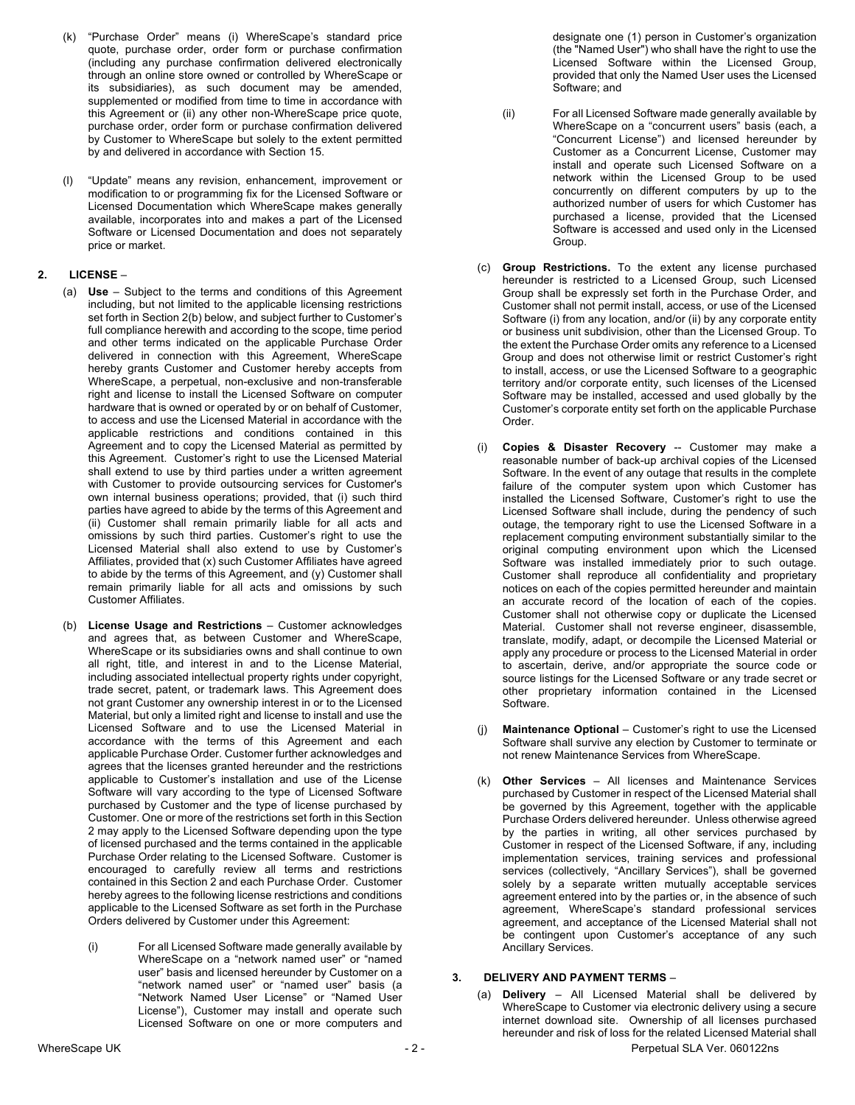- (k) "Purchase Order" means (i) WhereScape's standard price quote, purchase order, order form or purchase confirmation (including any purchase confirmation delivered electronically through an online store owned or controlled by WhereScape or its subsidiaries), as such document may be amended, supplemented or modified from time to time in accordance with this Agreement or (ii) any other non-WhereScape price quote, purchase order, order form or purchase confirmation delivered by Customer to WhereScape but solely to the extent permitted by and delivered in accordance with Section 15.
- (l) "Update" means any revision, enhancement, improvement or modification to or programming fix for the Licensed Software or Licensed Documentation which WhereScape makes generally available, incorporates into and makes a part of the Licensed Software or Licensed Documentation and does not separately price or market.

### **2. LICENSE** –

- (a) **Use** Subject to the terms and conditions of this Agreement including, but not limited to the applicable licensing restrictions set forth in Section 2(b) below, and subject further to Customer's full compliance herewith and according to the scope, time period and other terms indicated on the applicable Purchase Order delivered in connection with this Agreement, WhereScape hereby grants Customer and Customer hereby accepts from WhereScape, a perpetual, non-exclusive and non-transferable right and license to install the Licensed Software on computer hardware that is owned or operated by or on behalf of Customer, to access and use the Licensed Material in accordance with the applicable restrictions and conditions contained in this Agreement and to copy the Licensed Material as permitted by this Agreement. Customer's right to use the Licensed Material shall extend to use by third parties under a written agreement with Customer to provide outsourcing services for Customer's own internal business operations; provided, that (i) such third parties have agreed to abide by the terms of this Agreement and (ii) Customer shall remain primarily liable for all acts and omissions by such third parties. Customer's right to use the Licensed Material shall also extend to use by Customer's Affiliates, provided that (x) such Customer Affiliates have agreed to abide by the terms of this Agreement, and (y) Customer shall remain primarily liable for all acts and omissions by such Customer Affiliates.
- (b) **License Usage and Restrictions** Customer acknowledges and agrees that, as between Customer and WhereScape, WhereScape or its subsidiaries owns and shall continue to own all right, title, and interest in and to the License Material, including associated intellectual property rights under copyright, trade secret, patent, or trademark laws. This Agreement does not grant Customer any ownership interest in or to the Licensed Material, but only a limited right and license to install and use the Licensed Software and to use the Licensed Material in accordance with the terms of this Agreement and each applicable Purchase Order. Customer further acknowledges and agrees that the licenses granted hereunder and the restrictions applicable to Customer's installation and use of the License Software will vary according to the type of Licensed Software purchased by Customer and the type of license purchased by Customer. One or more of the restrictions set forth in this Section 2 may apply to the Licensed Software depending upon the type of licensed purchased and the terms contained in the applicable Purchase Order relating to the Licensed Software. Customer is encouraged to carefully review all terms and restrictions contained in this Section 2 and each Purchase Order. Customer hereby agrees to the following license restrictions and conditions applicable to the Licensed Software as set forth in the Purchase Orders delivered by Customer under this Agreement:
	- (i) For all Licensed Software made generally available by WhereScape on a "network named user" or "named user" basis and licensed hereunder by Customer on a "network named user" or "named user" basis (a "Network Named User License" or "Named User License"), Customer may install and operate such Licensed Software on one or more computers and

designate one (1) person in Customer's organization (the "Named User") who shall have the right to use the Licensed Software within the Licensed Group, provided that only the Named User uses the Licensed Software; and

- (ii) For all Licensed Software made generally available by WhereScape on a "concurrent users" basis (each, a "Concurrent License") and licensed hereunder by Customer as a Concurrent License, Customer may install and operate such Licensed Software on a network within the Licensed Group to be used concurrently on different computers by up to the authorized number of users for which Customer has purchased a license, provided that the Licensed Software is accessed and used only in the Licensed Group.
- (c) **Group Restrictions.** To the extent any license purchased hereunder is restricted to a Licensed Group, such Licensed Group shall be expressly set forth in the Purchase Order, and Customer shall not permit install, access, or use of the Licensed Software (i) from any location, and/or (ii) by any corporate entity or business unit subdivision, other than the Licensed Group. To the extent the Purchase Order omits any reference to a Licensed Group and does not otherwise limit or restrict Customer's right to install, access, or use the Licensed Software to a geographic territory and/or corporate entity, such licenses of the Licensed Software may be installed, accessed and used globally by the Customer's corporate entity set forth on the applicable Purchase Order.
- (i) **Copies & Disaster Recovery** -- Customer may make a reasonable number of back-up archival copies of the Licensed Software. In the event of any outage that results in the complete failure of the computer system upon which Customer has installed the Licensed Software, Customer's right to use the Licensed Software shall include, during the pendency of such outage, the temporary right to use the Licensed Software in a replacement computing environment substantially similar to the original computing environment upon which the Licensed Software was installed immediately prior to such outage. Customer shall reproduce all confidentiality and proprietary notices on each of the copies permitted hereunder and maintain an accurate record of the location of each of the copies. Customer shall not otherwise copy or duplicate the Licensed Material. Customer shall not reverse engineer, disassemble, translate, modify, adapt, or decompile the Licensed Material or apply any procedure or process to the Licensed Material in order to ascertain, derive, and/or appropriate the source code or source listings for the Licensed Software or any trade secret or other proprietary information contained in the Licensed Software.
- Maintenance Optional Customer's right to use the Licensed Software shall survive any election by Customer to terminate or not renew Maintenance Services from WhereScape.
- (k) **Other Services**  All licenses and Maintenance Services purchased by Customer in respect of the Licensed Material shall be governed by this Agreement, together with the applicable Purchase Orders delivered hereunder. Unless otherwise agreed by the parties in writing, all other services purchased by Customer in respect of the Licensed Software, if any, including implementation services, training services and professional services (collectively, "Ancillary Services"), shall be governed solely by a separate written mutually acceptable services agreement entered into by the parties or, in the absence of such agreement, WhereScape's standard professional services agreement, and acceptance of the Licensed Material shall not be contingent upon Customer's acceptance of any such Ancillary Services.

#### **3. DELIVERY AND PAYMENT TERMS** –

(a) **Delivery** – All Licensed Material shall be delivered by WhereScape to Customer via electronic delivery using a secure internet download site. Ownership of all licenses purchased hereunder and risk of loss for the related Licensed Material shall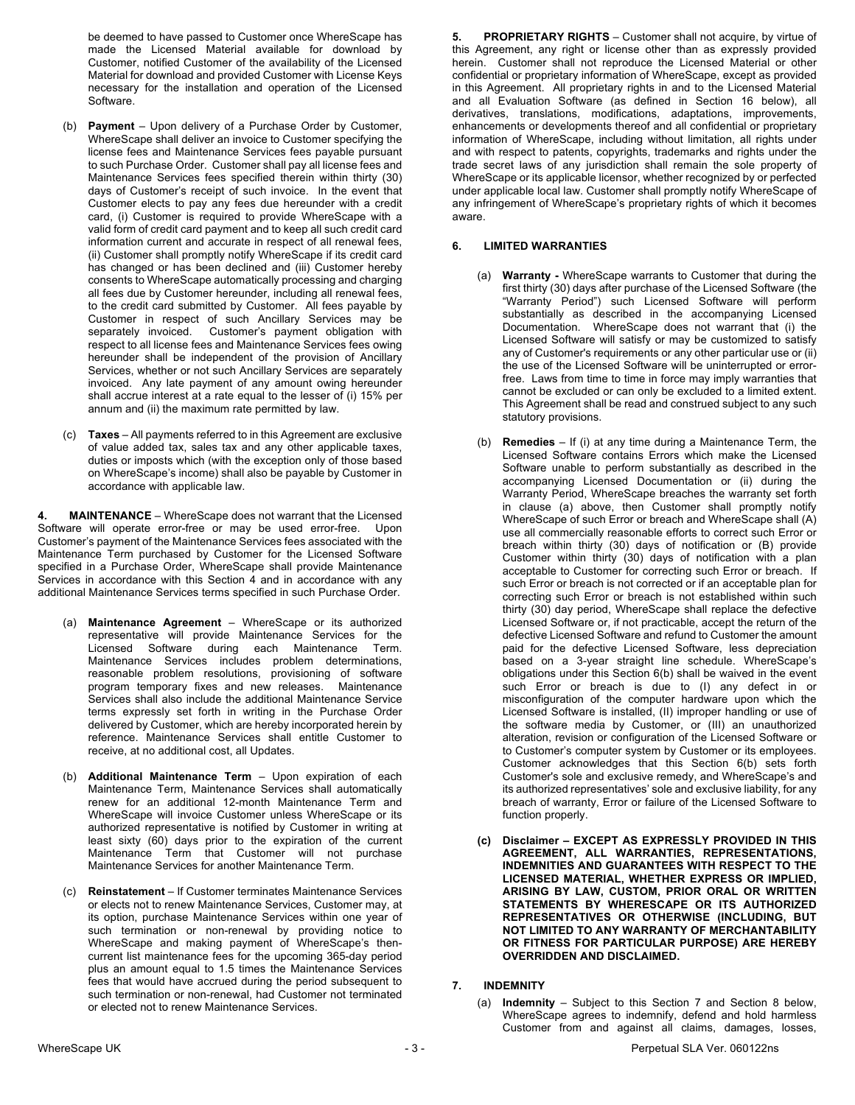be deemed to have passed to Customer once WhereScape has made the Licensed Material available for download by Customer, notified Customer of the availability of the Licensed Material for download and provided Customer with License Keys necessary for the installation and operation of the Licensed Software.

- (b) **Payment** Upon delivery of a Purchase Order by Customer, WhereScape shall deliver an invoice to Customer specifying the license fees and Maintenance Services fees payable pursuant to such Purchase Order. Customer shall pay all license fees and Maintenance Services fees specified therein within thirty (30) days of Customer's receipt of such invoice. In the event that Customer elects to pay any fees due hereunder with a credit card, (i) Customer is required to provide WhereScape with a valid form of credit card payment and to keep all such credit card information current and accurate in respect of all renewal fees, (ii) Customer shall promptly notify WhereScape if its credit card has changed or has been declined and (iii) Customer hereby consents to WhereScape automatically processing and charging all fees due by Customer hereunder, including all renewal fees, to the credit card submitted by Customer. All fees payable by Customer in respect of such Ancillary Services may be separately invoiced. Customer's payment obligation with respect to all license fees and Maintenance Services fees owing hereunder shall be independent of the provision of Ancillary Services, whether or not such Ancillary Services are separately invoiced. Any late payment of any amount owing hereunder shall accrue interest at a rate equal to the lesser of (i) 15% per annum and (ii) the maximum rate permitted by law.
- (c) **Taxes** All payments referred to in this Agreement are exclusive of value added tax, sales tax and any other applicable taxes, duties or imposts which (with the exception only of those based on WhereScape's income) shall also be payable by Customer in accordance with applicable law.

**4. MAINTENANCE** – WhereScape does not warrant that the Licensed Software will operate error-free or may be used error-free. Upon Customer's payment of the Maintenance Services fees associated with the Maintenance Term purchased by Customer for the Licensed Software specified in a Purchase Order, WhereScape shall provide Maintenance Services in accordance with this Section 4 and in accordance with any additional Maintenance Services terms specified in such Purchase Order.

- (a) **Maintenance Agreement** WhereScape or its authorized representative will provide Maintenance Services for the Licensed Software during each Maintenance Term. Maintenance Services includes problem determinations, reasonable problem resolutions, provisioning of software program temporary fixes and new releases. Maintenance Services shall also include the additional Maintenance Service terms expressly set forth in writing in the Purchase Order delivered by Customer, which are hereby incorporated herein by reference. Maintenance Services shall entitle Customer to receive, at no additional cost, all Updates.
- (b) **Additional Maintenance Term** Upon expiration of each Maintenance Term, Maintenance Services shall automatically renew for an additional 12-month Maintenance Term and WhereScape will invoice Customer unless WhereScape or its authorized representative is notified by Customer in writing at least sixty (60) days prior to the expiration of the current Maintenance Term that Customer will not purchase Maintenance Services for another Maintenance Term.
- (c) **Reinstatement** If Customer terminates Maintenance Services or elects not to renew Maintenance Services, Customer may, at its option, purchase Maintenance Services within one year of such termination or non-renewal by providing notice to WhereScape and making payment of WhereScape's thencurrent list maintenance fees for the upcoming 365-day period plus an amount equal to 1.5 times the Maintenance Services fees that would have accrued during the period subsequent to such termination or non-renewal, had Customer not terminated or elected not to renew Maintenance Services.

**5. PROPRIETARY RIGHTS** – Customer shall not acquire, by virtue of this Agreement, any right or license other than as expressly provided herein. Customer shall not reproduce the Licensed Material or other confidential or proprietary information of WhereScape, except as provided in this Agreement. All proprietary rights in and to the Licensed Material and all Evaluation Software (as defined in Section 16 below), all derivatives, translations, modifications, adaptations, improvements, enhancements or developments thereof and all confidential or proprietary information of WhereScape, including without limitation, all rights under and with respect to patents, copyrights, trademarks and rights under the trade secret laws of any jurisdiction shall remain the sole property of WhereScape or its applicable licensor, whether recognized by or perfected under applicable local law. Customer shall promptly notify WhereScape of any infringement of WhereScape's proprietary rights of which it becomes aware.

### **6. LIMITED WARRANTIES**

- (a) **Warranty -** WhereScape warrants to Customer that during the first thirty (30) days after purchase of the Licensed Software (the "Warranty Period") such Licensed Software will perform substantially as described in the accompanying Licensed Documentation. WhereScape does not warrant that (i) the Licensed Software will satisfy or may be customized to satisfy any of Customer's requirements or any other particular use or (ii) the use of the Licensed Software will be uninterrupted or errorfree. Laws from time to time in force may imply warranties that cannot be excluded or can only be excluded to a limited extent. This Agreement shall be read and construed subject to any such statutory provisions.
- (b) **Remedies**  If (i) at any time during a Maintenance Term, the Licensed Software contains Errors which make the Licensed Software unable to perform substantially as described in the accompanying Licensed Documentation or (ii) during the Warranty Period, WhereScape breaches the warranty set forth in clause (a) above, then Customer shall promptly notify WhereScape of such Error or breach and WhereScape shall (A) use all commercially reasonable efforts to correct such Error or breach within thirty (30) days of notification or (B) provide Customer within thirty (30) days of notification with a plan acceptable to Customer for correcting such Error or breach. If such Error or breach is not corrected or if an acceptable plan for correcting such Error or breach is not established within such thirty (30) day period, WhereScape shall replace the defective Licensed Software or, if not practicable, accept the return of the defective Licensed Software and refund to Customer the amount paid for the defective Licensed Software, less depreciation based on a 3-year straight line schedule. WhereScape's obligations under this Section 6(b) shall be waived in the event such Error or breach is due to (I) any defect in or misconfiguration of the computer hardware upon which the Licensed Software is installed, (II) improper handling or use of the software media by Customer, or (III) an unauthorized alteration, revision or configuration of the Licensed Software or to Customer's computer system by Customer or its employees. Customer acknowledges that this Section 6(b) sets forth Customer's sole and exclusive remedy, and WhereScape's and its authorized representatives' sole and exclusive liability, for any breach of warranty, Error or failure of the Licensed Software to function properly.
- **(c) Disclaimer – EXCEPT AS EXPRESSLY PROVIDED IN THIS AGREEMENT, ALL WARRANTIES, REPRESENTATIONS, INDEMNITIES AND GUARANTEES WITH RESPECT TO THE LICENSED MATERIAL, WHETHER EXPRESS OR IMPLIED, ARISING BY LAW, CUSTOM, PRIOR ORAL OR WRITTEN STATEMENTS BY WHERESCAPE OR ITS AUTHORIZED REPRESENTATIVES OR OTHERWISE (INCLUDING, BUT NOT LIMITED TO ANY WARRANTY OF MERCHANTABILITY OR FITNESS FOR PARTICULAR PURPOSE) ARE HEREBY OVERRIDDEN AND DISCLAIMED.**

#### **7. INDEMNITY**

(a) **Indemnity** – Subject to this Section 7 and Section 8 below, WhereScape agrees to indemnify, defend and hold harmless Customer from and against all claims, damages, losses,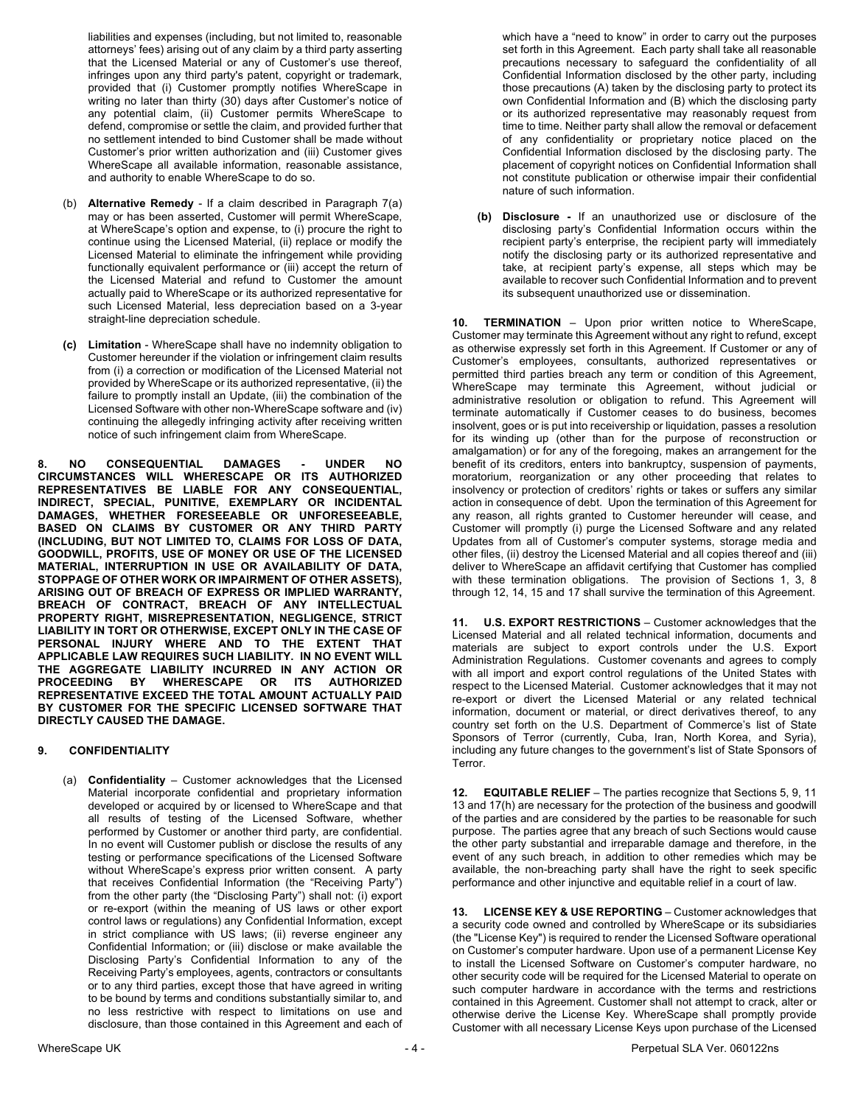liabilities and expenses (including, but not limited to, reasonable attorneys' fees) arising out of any claim by a third party asserting that the Licensed Material or any of Customer's use thereof, infringes upon any third party's patent, copyright or trademark, provided that (i) Customer promptly notifies WhereScape in writing no later than thirty (30) days after Customer's notice of any potential claim, (ii) Customer permits WhereScape to defend, compromise or settle the claim, and provided further that no settlement intended to bind Customer shall be made without Customer's prior written authorization and (iii) Customer gives WhereScape all available information, reasonable assistance, and authority to enable WhereScape to do so.

- (b) **Alternative Remedy** If a claim described in Paragraph 7(a) may or has been asserted, Customer will permit WhereScape, at WhereScape's option and expense, to (i) procure the right to continue using the Licensed Material, (ii) replace or modify the Licensed Material to eliminate the infringement while providing functionally equivalent performance or (iii) accept the return of the Licensed Material and refund to Customer the amount actually paid to WhereScape or its authorized representative for such Licensed Material, less depreciation based on a 3-year straight-line depreciation schedule.
- **(c) Limitation** WhereScape shall have no indemnity obligation to Customer hereunder if the violation or infringement claim results from (i) a correction or modification of the Licensed Material not provided by WhereScape or its authorized representative, (ii) the failure to promptly install an Update, (iii) the combination of the Licensed Software with other non-WhereScape software and (iv) continuing the allegedly infringing activity after receiving written notice of such infringement claim from WhereScape.

**8. NO CONSEQUENTIAL DAMAGES - UNDER NO CIRCUMSTANCES WILL WHERESCAPE OR ITS AUTHORIZED REPRESENTATIVES BE LIABLE FOR ANY CONSEQUENTIAL, INDIRECT, SPECIAL, PUNITIVE, EXEMPLARY OR INCIDENTAL DAMAGES, WHETHER FORESEEABLE OR UNFORESEEABLE, BASED ON CLAIMS BY CUSTOMER OR ANY THIRD PARTY (INCLUDING, BUT NOT LIMITED TO, CLAIMS FOR LOSS OF DATA, GOODWILL, PROFITS, USE OF MONEY OR USE OF THE LICENSED MATERIAL, INTERRUPTION IN USE OR AVAILABILITY OF DATA, STOPPAGE OF OTHER WORK OR IMPAIRMENT OF OTHER ASSETS), ARISING OUT OF BREACH OF EXPRESS OR IMPLIED WARRANTY, BREACH OF CONTRACT, BREACH OF ANY INTELLECTUAL PROPERTY RIGHT, MISREPRESENTATION, NEGLIGENCE, STRICT LIABILITY IN TORT OR OTHERWISE, EXCEPT ONLY IN THE CASE OF PERSONAL INJURY WHERE AND TO THE EXTENT THAT APPLICABLE LAW REQUIRES SUCH LIABILITY. IN NO EVENT WILL THE AGGREGATE LIABILITY INCURRED IN ANY ACTION OR PROCEEDING BY WHERESCAPE OR ITS AUTHORIZED REPRESENTATIVE EXCEED THE TOTAL AMOUNT ACTUALLY PAID BY CUSTOMER FOR THE SPECIFIC LICENSED SOFTWARE THAT DIRECTLY CAUSED THE DAMAGE.**

# **9. CONFIDENTIALITY**

(a) **Confidentiality** – Customer acknowledges that the Licensed Material incorporate confidential and proprietary information developed or acquired by or licensed to WhereScape and that all results of testing of the Licensed Software, whether performed by Customer or another third party, are confidential. In no event will Customer publish or disclose the results of any testing or performance specifications of the Licensed Software without WhereScape's express prior written consent. A party that receives Confidential Information (the "Receiving Party") from the other party (the "Disclosing Party") shall not: (i) export or re-export (within the meaning of US laws or other export control laws or regulations) any Confidential Information, except in strict compliance with US laws; (ii) reverse engineer any Confidential Information; or (iii) disclose or make available the Disclosing Party's Confidential Information to any of the Receiving Party's employees, agents, contractors or consultants or to any third parties, except those that have agreed in writing to be bound by terms and conditions substantially similar to, and no less restrictive with respect to limitations on use and disclosure, than those contained in this Agreement and each of which have a "need to know" in order to carry out the purposes set forth in this Agreement. Each party shall take all reasonable precautions necessary to safeguard the confidentiality of all Confidential Information disclosed by the other party, including those precautions (A) taken by the disclosing party to protect its own Confidential Information and (B) which the disclosing party or its authorized representative may reasonably request from time to time. Neither party shall allow the removal or defacement of any confidentiality or proprietary notice placed on the Confidential Information disclosed by the disclosing party. The placement of copyright notices on Confidential Information shall not constitute publication or otherwise impair their confidential nature of such information.

**(b) Disclosure -** If an unauthorized use or disclosure of the disclosing party's Confidential Information occurs within the recipient party's enterprise, the recipient party will immediately notify the disclosing party or its authorized representative and take, at recipient party's expense, all steps which may be available to recover such Confidential Information and to prevent its subsequent unauthorized use or dissemination.

**10. TERMINATION** – Upon prior written notice to WhereScape, Customer may terminate this Agreement without any right to refund, except as otherwise expressly set forth in this Agreement. If Customer or any of Customer's employees, consultants, authorized representatives or permitted third parties breach any term or condition of this Agreement, WhereScape may terminate this Agreement, without judicial or administrative resolution or obligation to refund. This Agreement will terminate automatically if Customer ceases to do business, becomes insolvent, goes or is put into receivership or liquidation, passes a resolution for its winding up (other than for the purpose of reconstruction or amalgamation) or for any of the foregoing, makes an arrangement for the benefit of its creditors, enters into bankruptcy, suspension of payments, moratorium, reorganization or any other proceeding that relates to insolvency or protection of creditors' rights or takes or suffers any similar action in consequence of debt. Upon the termination of this Agreement for any reason, all rights granted to Customer hereunder will cease, and Customer will promptly (i) purge the Licensed Software and any related Updates from all of Customer's computer systems, storage media and other files, (ii) destroy the Licensed Material and all copies thereof and (iii) deliver to WhereScape an affidavit certifying that Customer has complied with these termination obligations. The provision of Sections 1, 3, 8 through 12, 14, 15 and 17 shall survive the termination of this Agreement.

**11. U.S. EXPORT RESTRICTIONS** – Customer acknowledges that the Licensed Material and all related technical information, documents and materials are subject to export controls under the U.S. Export Administration Regulations. Customer covenants and agrees to comply with all import and export control regulations of the United States with respect to the Licensed Material. Customer acknowledges that it may not re-export or divert the Licensed Material or any related technical information, document or material, or direct derivatives thereof, to any country set forth on the U.S. Department of Commerce's list of State Sponsors of Terror (currently, Cuba, Iran, North Korea, and Syria), including any future changes to the government's list of State Sponsors of Terror.

**12. EQUITABLE RELIEF** – The parties recognize that Sections 5, 9, 11 13 and 17(h) are necessary for the protection of the business and goodwill of the parties and are considered by the parties to be reasonable for such purpose. The parties agree that any breach of such Sections would cause the other party substantial and irreparable damage and therefore, in the event of any such breach, in addition to other remedies which may be available, the non-breaching party shall have the right to seek specific performance and other injunctive and equitable relief in a court of law.

**13. LICENSE KEY & USE REPORTING** – Customer acknowledges that a security code owned and controlled by WhereScape or its subsidiaries (the "License Key") is required to render the Licensed Software operational on Customer's computer hardware. Upon use of a permanent License Key to install the Licensed Software on Customer's computer hardware, no other security code will be required for the Licensed Material to operate on such computer hardware in accordance with the terms and restrictions contained in this Agreement. Customer shall not attempt to crack, alter or otherwise derive the License Key. WhereScape shall promptly provide Customer with all necessary License Keys upon purchase of the Licensed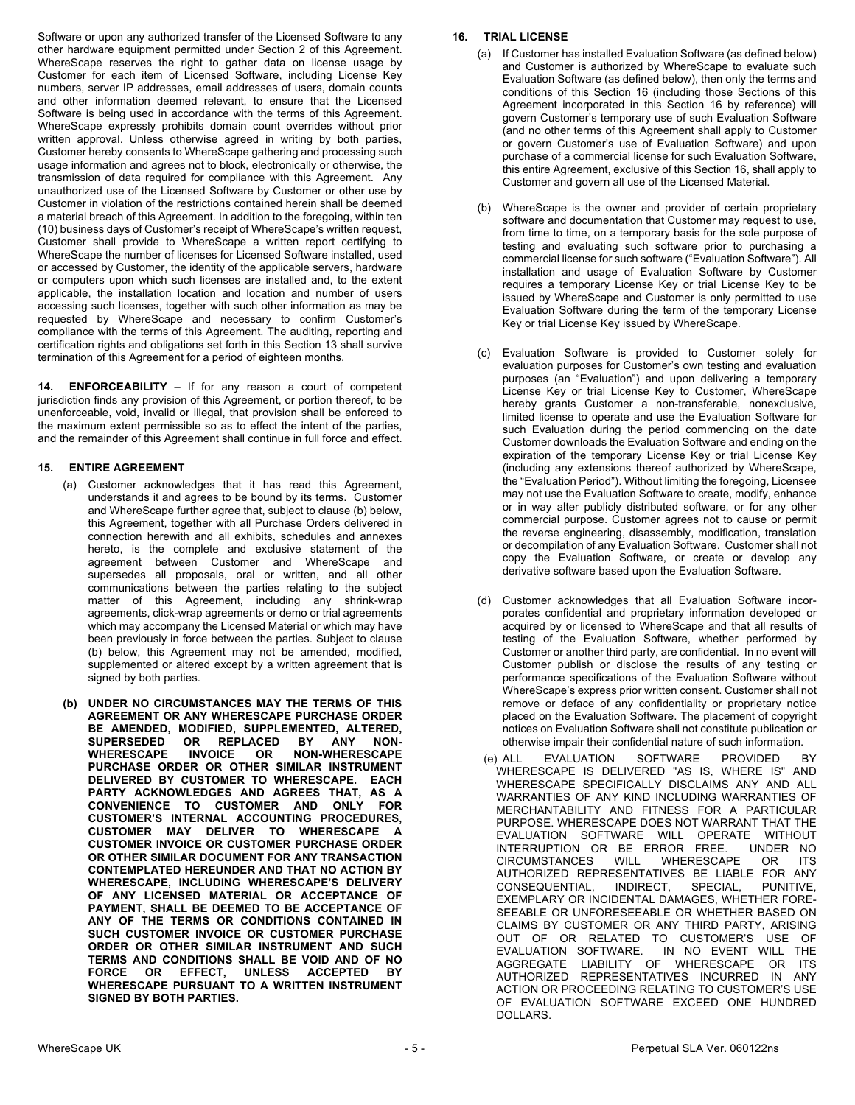Software or upon any authorized transfer of the Licensed Software to any other hardware equipment permitted under Section 2 of this Agreement. WhereScape reserves the right to gather data on license usage by Customer for each item of Licensed Software, including License Key numbers, server IP addresses, email addresses of users, domain counts and other information deemed relevant, to ensure that the Licensed Software is being used in accordance with the terms of this Agreement. WhereScape expressly prohibits domain count overrides without prior written approval. Unless otherwise agreed in writing by both parties, Customer hereby consents to WhereScape gathering and processing such usage information and agrees not to block, electronically or otherwise, the transmission of data required for compliance with this Agreement. Any unauthorized use of the Licensed Software by Customer or other use by Customer in violation of the restrictions contained herein shall be deemed a material breach of this Agreement. In addition to the foregoing, within ten (10) business days of Customer's receipt of WhereScape's written request, Customer shall provide to WhereScape a written report certifying to WhereScape the number of licenses for Licensed Software installed, used or accessed by Customer, the identity of the applicable servers, hardware or computers upon which such licenses are installed and, to the extent applicable, the installation location and location and number of users accessing such licenses, together with such other information as may be requested by WhereScape and necessary to confirm Customer's compliance with the terms of this Agreement. The auditing, reporting and certification rights and obligations set forth in this Section 13 shall survive termination of this Agreement for a period of eighteen months.

**14. ENFORCEABILITY** – If for any reason a court of competent jurisdiction finds any provision of this Agreement, or portion thereof, to be unenforceable, void, invalid or illegal, that provision shall be enforced to the maximum extent permissible so as to effect the intent of the parties, and the remainder of this Agreement shall continue in full force and effect.

# **15. ENTIRE AGREEMENT**

- (a) Customer acknowledges that it has read this Agreement, understands it and agrees to be bound by its terms. Customer and WhereScape further agree that, subject to clause (b) below, this Agreement, together with all Purchase Orders delivered in connection herewith and all exhibits, schedules and annexes hereto, is the complete and exclusive statement of the agreement between Customer and WhereScape and supersedes all proposals, oral or written, and all other communications between the parties relating to the subject matter of this Agreement, including any shrink-wrap agreements, click-wrap agreements or demo or trial agreements which may accompany the Licensed Material or which may have been previously in force between the parties. Subject to clause (b) below, this Agreement may not be amended, modified, supplemented or altered except by a written agreement that is signed by both parties.
- **(b) UNDER NO CIRCUMSTANCES MAY THE TERMS OF THIS AGREEMENT OR ANY WHERESCAPE PURCHASE ORDER BE AMENDED, MODIFIED, SUPPLEMENTED, ALTERED, SUPERSEDED OR REPLACED BY ANY NON-WHERESCAPE INVOICE OR NON-WHERESCAPE PURCHASE ORDER OR OTHER SIMILAR INSTRUMENT DELIVERED BY CUSTOMER TO WHERESCAPE. EACH PARTY ACKNOWLEDGES AND AGREES THAT, AS A CONVENIENCE TO CUSTOMER AND ONLY FOR CUSTOMER'S INTERNAL ACCOUNTING PROCEDURES, CUSTOMER MAY DELIVER TO WHERESCAPE A CUSTOMER INVOICE OR CUSTOMER PURCHASE ORDER OR OTHER SIMILAR DOCUMENT FOR ANY TRANSACTION CONTEMPLATED HEREUNDER AND THAT NO ACTION BY WHERESCAPE, INCLUDING WHERESCAPE'S DELIVERY OF ANY LICENSED MATERIAL OR ACCEPTANCE OF PAYMENT, SHALL BE DEEMED TO BE ACCEPTANCE OF ANY OF THE TERMS OR CONDITIONS CONTAINED IN SUCH CUSTOMER INVOICE OR CUSTOMER PURCHASE ORDER OR OTHER SIMILAR INSTRUMENT AND SUCH TERMS AND CONDITIONS SHALL BE VOID AND OF NO FORCE OR EFFECT, UNLESS ACCEPTED BY WHERESCAPE PURSUANT TO A WRITTEN INSTRUMENT SIGNED BY BOTH PARTIES.**

### **16. TRIAL LICENSE**

- (a) If Customer has installed Evaluation Software (as defined below) and Customer is authorized by WhereScape to evaluate such Evaluation Software (as defined below), then only the terms and conditions of this Section 16 (including those Sections of this Agreement incorporated in this Section 16 by reference) will govern Customer's temporary use of such Evaluation Software (and no other terms of this Agreement shall apply to Customer or govern Customer's use of Evaluation Software) and upon purchase of a commercial license for such Evaluation Software, this entire Agreement, exclusive of this Section 16, shall apply to Customer and govern all use of the Licensed Material.
- (b) WhereScape is the owner and provider of certain proprietary software and documentation that Customer may request to use, from time to time, on a temporary basis for the sole purpose of testing and evaluating such software prior to purchasing a commercial license for such software ("Evaluation Software"). All installation and usage of Evaluation Software by Customer requires a temporary License Key or trial License Key to be issued by WhereScape and Customer is only permitted to use Evaluation Software during the term of the temporary License Key or trial License Key issued by WhereScape.
- (c) Evaluation Software is provided to Customer solely for evaluation purposes for Customer's own testing and evaluation purposes (an "Evaluation") and upon delivering a temporary License Key or trial License Key to Customer, WhereScape hereby grants Customer a non-transferable, nonexclusive, limited license to operate and use the Evaluation Software for such Evaluation during the period commencing on the date Customer downloads the Evaluation Software and ending on the expiration of the temporary License Key or trial License Key (including any extensions thereof authorized by WhereScape, the "Evaluation Period"). Without limiting the foregoing, Licensee may not use the Evaluation Software to create, modify, enhance or in way alter publicly distributed software, or for any other commercial purpose. Customer agrees not to cause or permit the reverse engineering, disassembly, modification, translation or decompilation of any Evaluation Software. Customer shall not copy the Evaluation Software, or create or develop any derivative software based upon the Evaluation Software.
- (d) Customer acknowledges that all Evaluation Software incorporates confidential and proprietary information developed or acquired by or licensed to WhereScape and that all results of testing of the Evaluation Software, whether performed by Customer or another third party, are confidential. In no event will Customer publish or disclose the results of any testing or performance specifications of the Evaluation Software without WhereScape's express prior written consent. Customer shall not remove or deface of any confidentiality or proprietary notice placed on the Evaluation Software. The placement of copyright notices on Evaluation Software shall not constitute publication or otherwise impair their confidential nature of such information.
- (e) ALL EVALUATION SOFTWARE PROVIDED BY WHERESCAPE IS DELIVERED "AS IS, WHERE IS" AND WHERESCAPE SPECIFICALLY DISCLAIMS ANY AND ALL WARRANTIES OF ANY KIND INCLUDING WARRANTIES OF MERCHANTABILITY AND FITNESS FOR A PARTICULAR PURPOSE. WHERESCAPE DOES NOT WARRANT THAT THE EVALUATION SOFTWARE WILL OPERATE WITHOUT INTERRUPTION OR BE ERROR FREE. UNDER NO<br>CIRCUMSTANCES WILL WHERESCAPE OR ITS CIRCUMSTANCES WILL WHERESCAPE OR ITS AUTHORIZED REPRESENTATIVES BE LIABLE FOR ANY CONSEQUENTIAL, INDIRECT, SPECIAL, PUNITIVE, EXEMPLARY OR INCIDENTAL DAMAGES, WHETHER FORE-SEEABLE OR UNFORESEEABLE OR WHETHER BASED ON CLAIMS BY CUSTOMER OR ANY THIRD PARTY, ARISING OUT OF OR RELATED TO CUSTOMER'S USE OF EVALUATION SOFTWARE. IN NO EVENT WILL THE AGGREGATE LIABILITY OF WHERESCAPE OR ITS AUTHORIZED REPRESENTATIVES INCURRED IN ANY ACTION OR PROCEEDING RELATING TO CUSTOMER'S USE OF EVALUATION SOFTWARE EXCEED ONE HUNDRED DOLLARS.